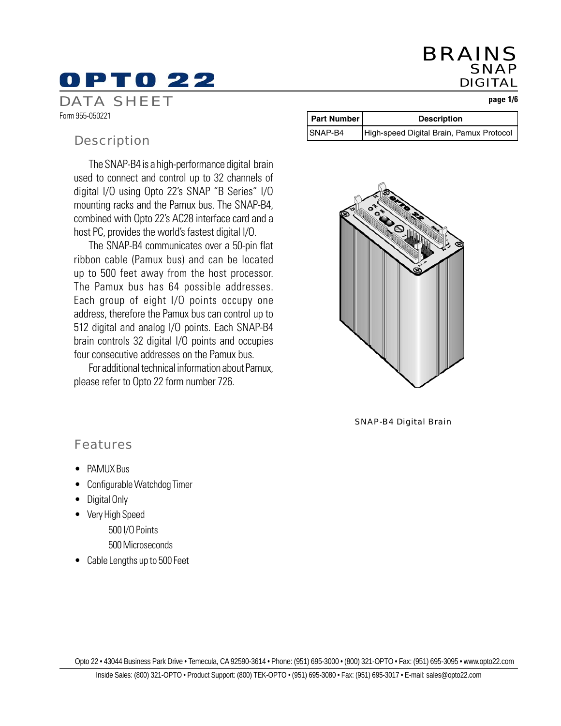## BRAINS SNAP DIGITAL

#### **page 1/6**

# DPT0 22 DATA SHEET

Form 955-050221

### **Description**

The SNAP-B4 is a high-performance digital brain used to connect and control up to 32 channels of digital I/O using Opto 22's SNAP "B Series" I/O mounting racks and the Pamux bus. The SNAP-B4, combined with Opto 22's AC28 interface card and a host PC, provides the world's fastest digital I/O.

The SNAP-B4 communicates over a 50-pin flat ribbon cable (Pamux bus) and can be located up to 500 feet away from the host processor. The Pamux bus has 64 possible addresses. Each group of eight I/O points occupy one address, therefore the Pamux bus can control up to 512 digital and analog I/O points. Each SNAP-B4 brain controls 32 digital I/O points and occupies four consecutive addresses on the Pamux bus.

For additional technical information about Pamux, please refer to Opto 22 form number 726.

|         | <b>Part Number</b> | <b>Description</b>                       |  |
|---------|--------------------|------------------------------------------|--|
| SNAP-B4 |                    | High-speed Digital Brain, Pamux Protocol |  |



SNAP-B4 Digital Brain

## Features

- PAMUX Bus
- Configurable Watchdog Timer
- Digital Only
- Very High Speed
	- 500 I/O Points
	- 500 Microseconds
- Cable Lengths up to 500 Feet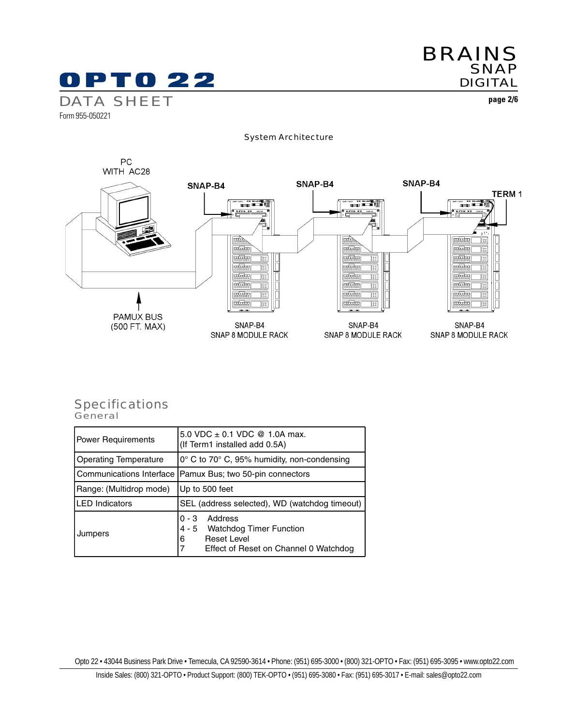

**page 2/6**

System Architecture



#### **General** Specifications

| <b>Power Requirements</b>    | 5.0 VDC $\pm$ 0.1 VDC @ 1.0A max.<br>(If Term1 installed add 0.5A)                                                      |  |  |
|------------------------------|-------------------------------------------------------------------------------------------------------------------------|--|--|
| <b>Operating Temperature</b> | $0^{\circ}$ C to 70 $^{\circ}$ C, 95% humidity, non-condensing                                                          |  |  |
|                              | Communications Interface   Pamux Bus; two 50-pin connectors                                                             |  |  |
| Range: (Multidrop mode)      | Up to 500 feet                                                                                                          |  |  |
| LED Indicators               | SEL (address selected), WD (watchdog timeout)                                                                           |  |  |
| Jumpers                      | Address<br>$0 - 3$<br>4 - 5 Watchdog Timer Function<br><b>Reset Level</b><br>6<br>Effect of Reset on Channel 0 Watchdog |  |  |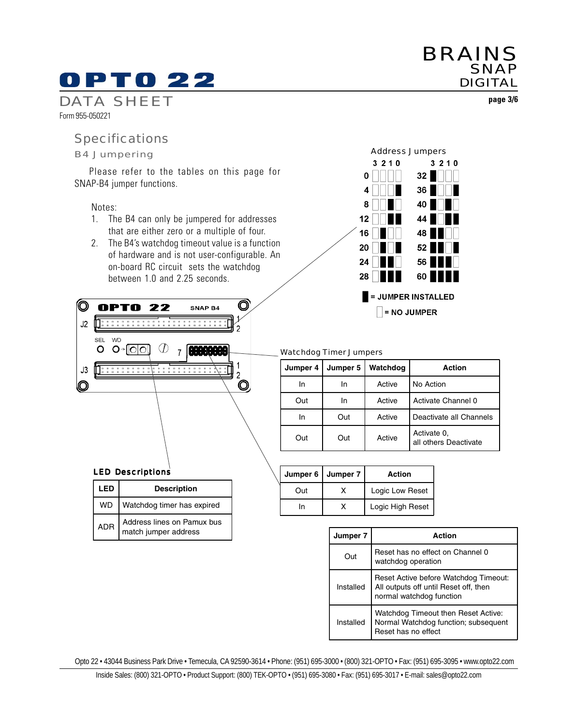# DPT0 22

DATA SHEET Form 955-050221

#### B4 Jumpering

Please refer to the tables on this page for SNAP-B4 jumper functions.

#### Notes:

(O)

 $J2$ 

 $J3$ 

Q

SEL **WD**  $O$   $O \rightarrow [O]$ 

- 1. The B4 can only be jumpered for addresses that are either zero or a multiple of four.
- 2. The B4's watchdog timeout value is a function of hardware and is not user-configurable. An on-board RC circuit sets the watchdog between 1.0 and 2.25 seconds.

SNAP B4

7 1999.999

. . . . . . . . . .

 $\circledcirc$ 

 $\overline{2}$ 

1

 $\overline{2}$  $\mathbf{\mathsf{O}}$ 



#### Watchdog Timer Jumpers

| Jumper 4 | Jumper 5 | Watchdog | Action                               |
|----------|----------|----------|--------------------------------------|
| In       | In       | Active   | No Action                            |
| Out      | In       | Active   | Activate Channel 0                   |
| In       | Out      | Active   | Deactivate all Channels              |
| Out      | Out      | Active   | Activate 0.<br>all others Deactivate |

|      | Jumper 6   Jumper 7 | Action           |
|------|---------------------|------------------|
| ∩ııt |                     | Logic Low Reset  |
| In   |                     | Logic High Reset |

| Jumper 7  | Action                                                                                                     |
|-----------|------------------------------------------------------------------------------------------------------------|
| Out       | Reset has no effect on Channel 0<br>watchdog operation                                                     |
| Installed | Reset Active before Watchdog Timeout:<br>All outputs off until Reset off, then<br>normal watchdog function |
| Installed | Watchdog Timeout then Reset Active:<br>Normal Watchdog function; subsequent<br>Reset has no effect         |

Opto 22 • 43044 Business Park Drive • Temecula, CA 92590-3614 • Phone: (951) 695-3000 • (800) 321-OPTO • Fax: (951) 695-3095 • www.opto22.com



SNAP DIGITAL

BRAINS

Specifications

LED Descriptions

**OPTO 22** 

7. . . . . . . . . . .

 $\circledv$ 

**LED Description**

WD | Watchdog timer has expired

ADR | Address lines on Pamux bus match jumper address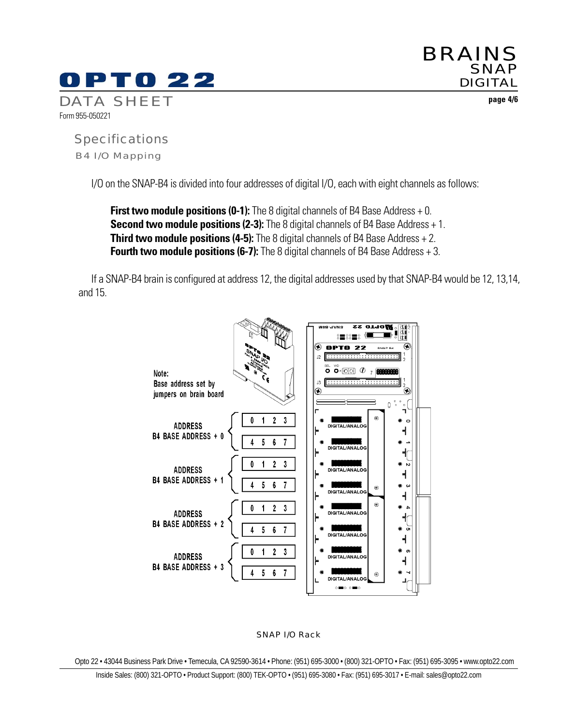

BRAINS SNAP DIGITAL

**page 4/6**

B4 I/O Mapping Specifications

I/O on the SNAP-B4 is divided into four addresses of digital I/O, each with eight channels as follows:

**First two module positions (0-1):** The 8 digital channels of B4 Base Address + 0. **Second two module positions (2-3):** The 8 digital channels of B4 Base Address + 1. **Third two module positions (4-5):** The 8 digital channels of B4 Base Address + 2. **Fourth two module positions (6-7):** The 8 digital channels of B4 Base Address + 3.

If a SNAP-B4 brain is configured at address 12, the digital addresses used by that SNAP-B4 would be 12, 13,14, and 15.



#### SNAP I/O Rack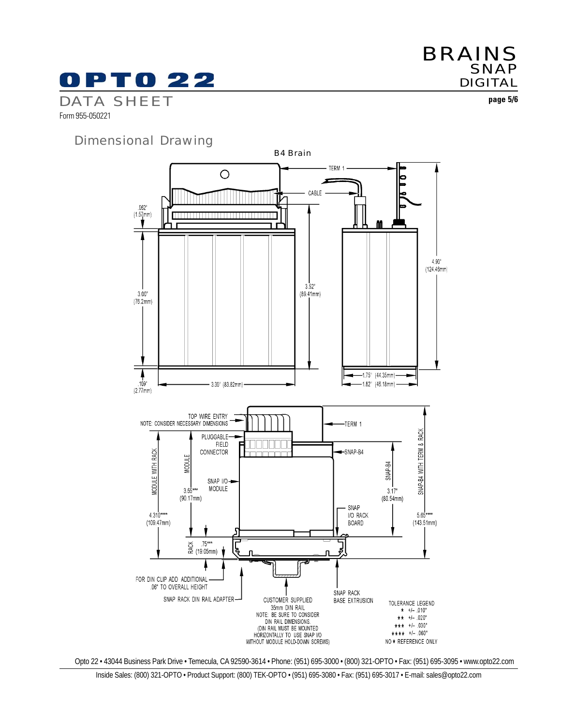# PT0 22 DATA SHEET

**SNAP** DIGITAL

**page 5/6**

BRAINS

Form 955-050221

Dimensional Drawing

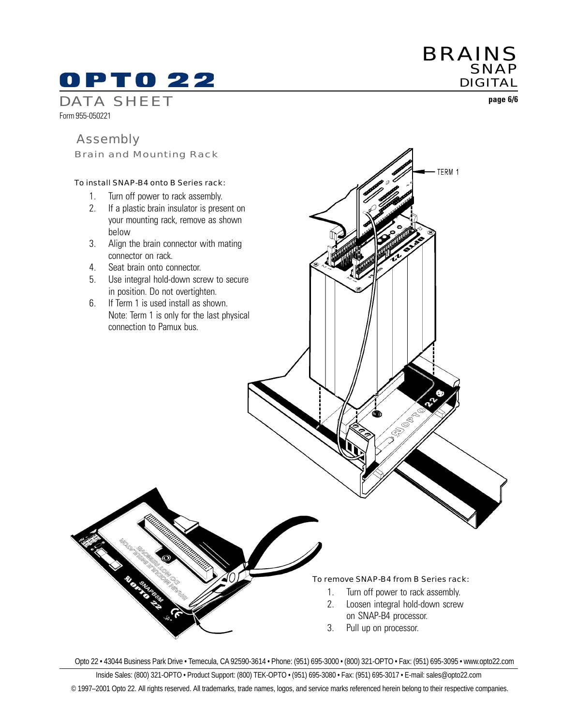# 0 P T 0 22

DATA SHEET Form 955-050221

### Assembly

Brain and Mounting Rack

#### To install SNAP-B4 onto B Series rack:

- 1. Turn off power to rack assembly.
- 2. If a plastic brain insulator is present on your mounting rack, remove as shown below
- 3. Align the brain connector with mating connector on rack.
- 4. Seat brain onto connector.
- 5. Use integral hold-down screw to secure in position. Do not overtighten.
- 6. If Term 1 is used install as shown. Note: Term 1 is only for the last physical connection to Pamux bus.

#### To remove SNAP-B4 from B Series rack:

1. Turn off power to rack assembly.

l<br>S È

BRAINS

TERM 1

**SNAP** DIGITAL

**page 6/6**

- 2. Loosen integral hold-down screw on SNAP-B4 processor.
- 3. Pull up on processor.

Opto 22 • 43044 Business Park Drive • Temecula, CA 92590-3614 • Phone: (951) 695-3000 • (800) 321-OPTO • Fax: (951) 695-3095 • www.opto22.com

Inside Sales: (800) 321-OPTO • Product Support: (800) TEK-OPTO • (951) 695-3080 • Fax: (951) 695-3017 • E-mail: sales@opto22.com © 1997–2001 Opto 22. All rights reserved. All trademarks, trade names, logos, and service marks referenced herein belong to their respective companies.